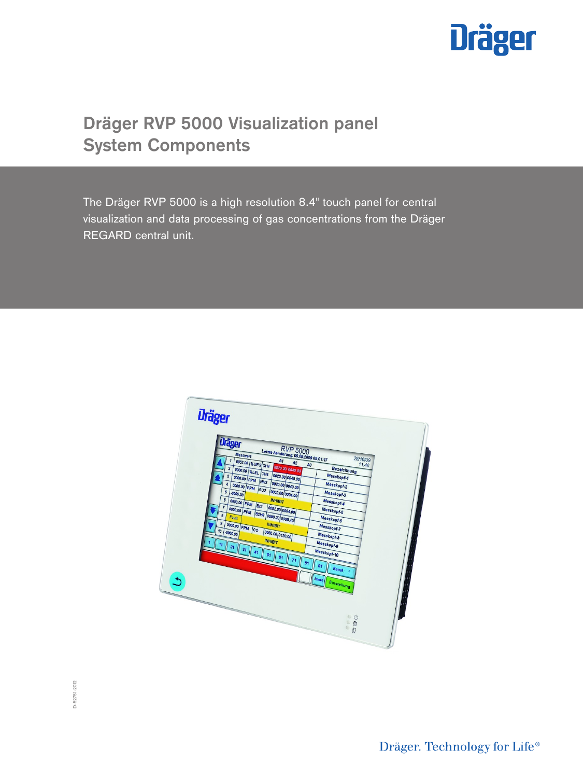

# **Dräger RVP 5000 Visualization panel System Components**

The Dräger RVP 5000 is a high resolution 8.4" touch panel for central visualization and data processing of gas concentrations from the Dräger REGARD central unit.



D-52751-2012 D-52751-2012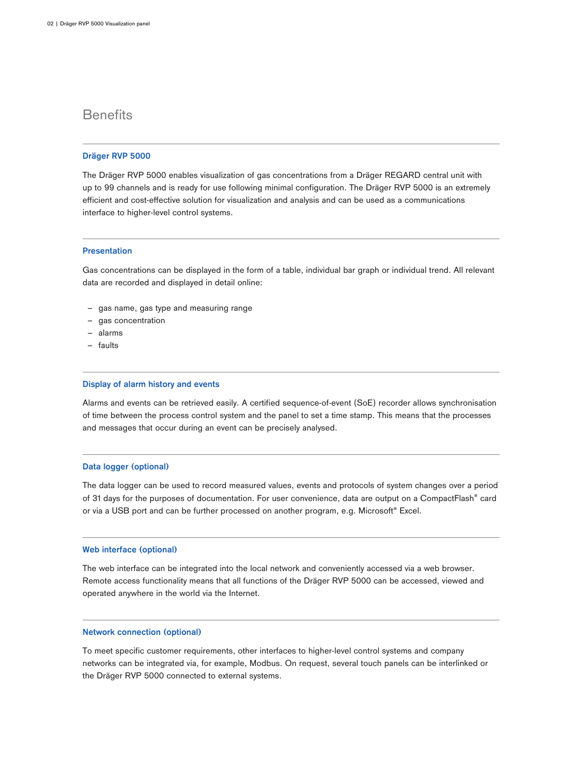## **Benefits**

## **Dräger RVP 5000**

The Dräger RVP 5000 enables visualization of gas concentrations from a Dräger REGARD central unit with up to 99 channels and is ready for use following minimal configuration. The Dräger RVP 5000 is an extremely efficient and cost-effective solution for visualization and analysis and can be used as a communications interface to higher-level control systems.

### **Presentation**

Gas concentrations can be displayed in the form of a table, individual bar graph or individual trend. All relevant data are recorded and displayed in detail online:

- gas name, gas type and measuring range
- gas concentration
- ‒ alarms
- ‒ faults

#### **Display of alarm history and events**

Alarms and events can be retrieved easily. A certified sequence-of-event (SoE) recorder allows synchronisation of time between the process control system and the panel to set a time stamp. This means that the processes and messages that occur during an event can be precisely analysed.

### **Data logger (optional)**

The data logger can be used to record measured values, events and protocols of system changes over a period of 31 days for the purposes of documentation. For user convenience, data are output on a CompactFlash® card or via a USB port and can be further processed on another program, e.g. Microsoft® Excel.

### **Web interface (optional)**

The web interface can be integrated into the local network and conveniently accessed via a web browser. Remote access functionality means that all functions of the Dräger RVP 5000 can be accessed, viewed and operated anywhere in the world via the Internet.

## **Network connection (optional)**

To meet specific customer requirements, other interfaces to higher-level control systems and company networks can be integrated via, for example, Modbus. On request, several touch panels can be interlinked or the Dräger RVP 5000 connected to external systems.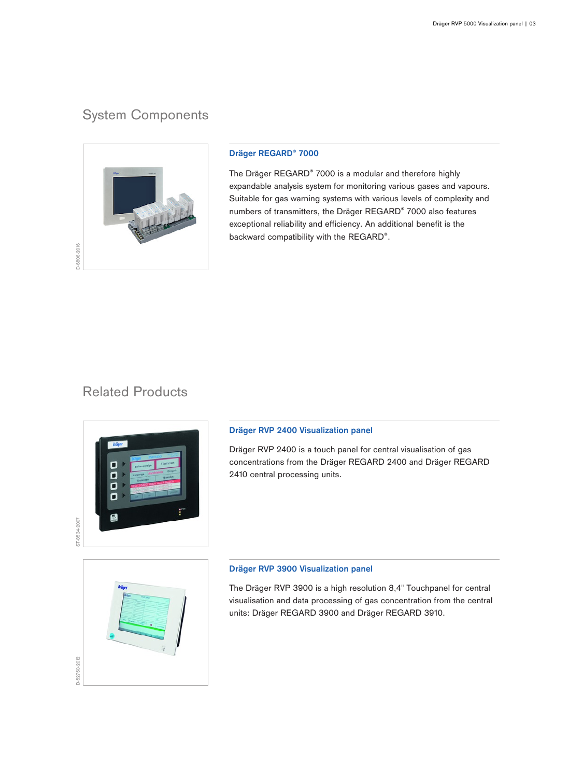## System Components



## **Dräger REGARD® 7000**

The Dräger REGARD® 7000 is a modular and therefore highly expandable analysis system for monitoring various gases and vapours. Suitable for gas warning systems with various levels of complexity and numbers of transmitters, the Dräger REGARD® 7000 also features exceptional reliability and efficiency. An additional benefit is the backward compatibility with the REGARD®.

## Related Products



D-52750-2012

## **Dräger RVP 2400 Visualization panel**

Dräger RVP 2400 is a touch panel for central visualisation of gas concentrations from the Dräger REGARD 2400 and Dräger REGARD 2410 central processing units.

## **Dräger RVP 3900 Visualization panel**

The Dräger RVP 3900 is a high resolution 8,4" Touchpanel for central visualisation and data processing of gas concentration from the central units: Dräger REGARD 3900 and Dräger REGARD 3910.